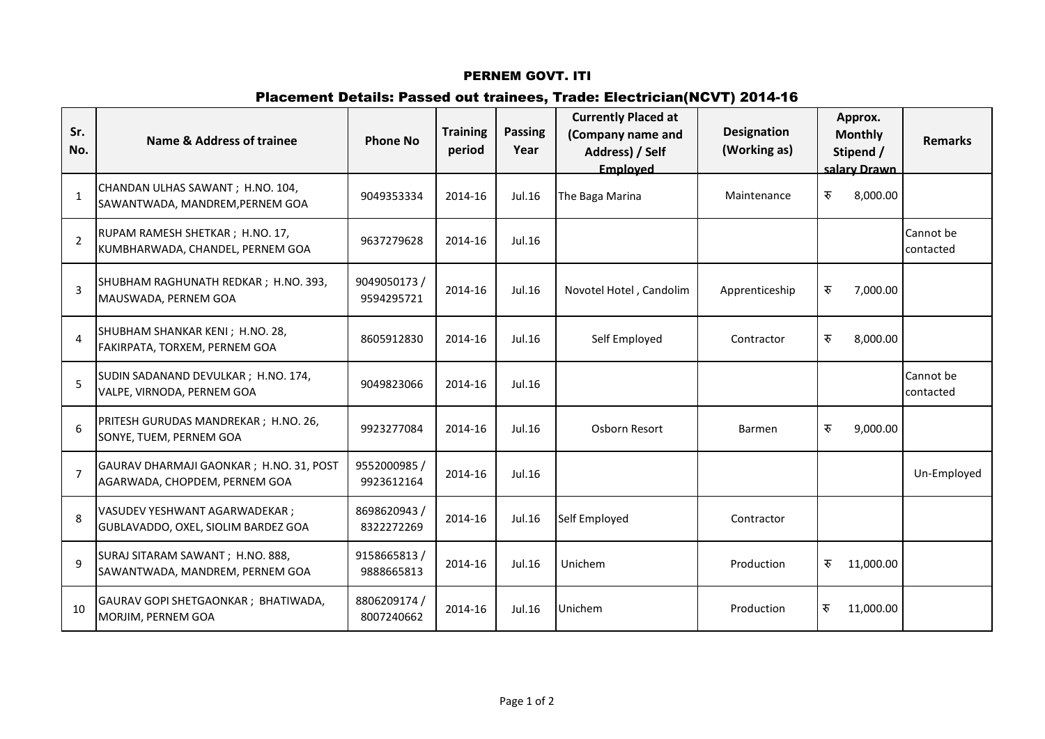# Placement Details: Passed out trainees, Trade: Electrician(NCVT) 2014-16

| Sr.<br>No.     | Name & Address of trainee                                                 | <b>Phone No</b>            | <b>Training</b><br>period | <b>Passing</b><br>Year | <b>Currently Placed at</b><br>(Company name and<br>Address) / Self<br>Employed | <b>Designation</b><br>(Working as) | Approx.<br><b>Monthly</b><br>Stipend /<br>salary Drawn | <b>Remarks</b>         |
|----------------|---------------------------------------------------------------------------|----------------------------|---------------------------|------------------------|--------------------------------------------------------------------------------|------------------------------------|--------------------------------------------------------|------------------------|
| $\mathbf{1}$   | CHANDAN ULHAS SAWANT ; H.NO. 104,<br>SAWANTWADA, MANDREM, PERNEM GOA      | 9049353334                 | 2014-16                   | Jul.16                 | The Baga Marina                                                                | Maintenance                        | रु<br>8,000.00                                         |                        |
| $\overline{2}$ | RUPAM RAMESH SHETKAR; H.NO. 17,<br>KUMBHARWADA, CHANDEL, PERNEM GOA       | 9637279628                 | 2014-16                   | Jul.16                 |                                                                                |                                    |                                                        | Cannot be<br>contacted |
| $\overline{3}$ | SHUBHAM RAGHUNATH REDKAR; H.NO. 393,<br>MAUSWADA, PERNEM GOA              | 9049050173 /<br>9594295721 | 2014-16                   | Jul.16                 | Novotel Hotel, Candolim                                                        | Apprenticeship                     | रु<br>7,000.00                                         |                        |
| $\overline{4}$ | SHUBHAM SHANKAR KENI; H.NO. 28,<br>FAKIRPATA, TORXEM, PERNEM GOA          | 8605912830                 | 2014-16                   | Jul.16                 | Self Employed                                                                  | Contractor                         | रु<br>8,000.00                                         |                        |
| 5              | SUDIN SADANAND DEVULKAR; H.NO. 174,<br>VALPE, VIRNODA, PERNEM GOA         | 9049823066                 | 2014-16                   | Jul.16                 |                                                                                |                                    |                                                        | Cannot be<br>contacted |
| 6              | PRITESH GURUDAS MANDREKAR; H.NO. 26,<br>SONYE, TUEM, PERNEM GOA           | 9923277084                 | 2014-16                   | Jul.16                 | Osborn Resort                                                                  | <b>Barmen</b>                      | रु<br>9,000.00                                         |                        |
| $\overline{7}$ | GAURAV DHARMAJI GAONKAR ; H.NO. 31, POST<br>AGARWADA, CHOPDEM, PERNEM GOA | 9552000985 /<br>9923612164 | 2014-16                   | Jul.16                 |                                                                                |                                    |                                                        | Un-Employed            |
| 8              | VASUDEV YESHWANT AGARWADEKAR;<br>GUBLAVADDO, OXEL, SIOLIM BARDEZ GOA      | 8698620943/<br>8322272269  | 2014-16                   | Jul.16                 | Self Employed                                                                  | Contractor                         |                                                        |                        |
| $\mathsf{q}$   | SURAJ SITARAM SAWANT; H.NO. 888,<br>SAWANTWADA, MANDREM, PERNEM GOA       | 9158665813/<br>9888665813  | 2014-16                   | Jul.16                 | Unichem                                                                        | Production                         | रु<br>11,000.00                                        |                        |
| 10             | GAURAV GOPI SHETGAONKAR; BHATIWADA,<br>MORJIM, PERNEM GOA                 | 8806209174 /<br>8007240662 | 2014-16                   | Jul.16                 | Unichem                                                                        | Production                         | रु<br>11,000.00                                        |                        |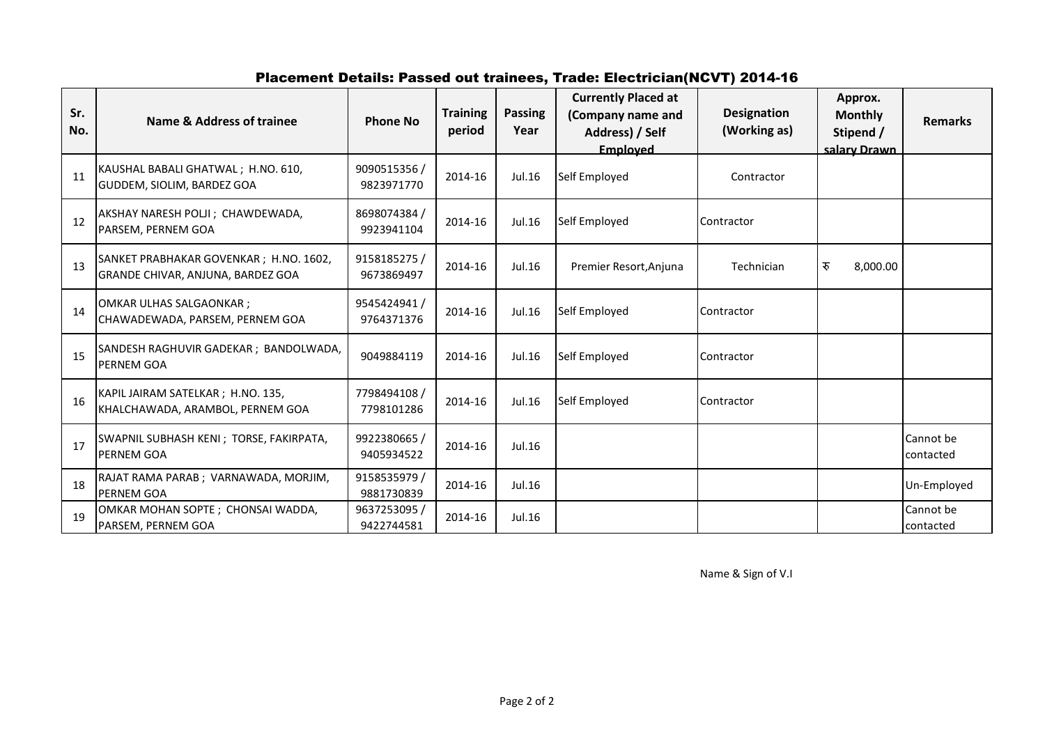# Placement Details: Passed out trainees, Trade: Electrician(NCVT) 2014-16

| Sr.<br>No. | Name & Address of trainee                                                   | <b>Phone No</b>            | <b>Training</b><br>period | <b>Passing</b><br>Year | <b>Currently Placed at</b><br>(Company name and<br>Address) / Self<br>Employed | <b>Designation</b><br>(Working as) | Approx.<br><b>Monthly</b><br>Stipend /<br>salary Drawn | <b>Remarks</b>         |
|------------|-----------------------------------------------------------------------------|----------------------------|---------------------------|------------------------|--------------------------------------------------------------------------------|------------------------------------|--------------------------------------------------------|------------------------|
| 11         | KAUSHAL BABALI GHATWAL; H.NO. 610,<br>GUDDEM, SIOLIM, BARDEZ GOA            | 9090515356 /<br>9823971770 | 2014-16                   | Jul.16                 | Self Employed                                                                  | Contractor                         |                                                        |                        |
| 12         | AKSHAY NARESH POLJI; CHAWDEWADA,<br>PARSEM, PERNEM GOA                      | 8698074384 /<br>9923941104 | 2014-16                   | Jul.16                 | Self Employed                                                                  | Contractor                         |                                                        |                        |
| 13         | SANKET PRABHAKAR GOVENKAR; H.NO. 1602,<br>GRANDE CHIVAR, ANJUNA, BARDEZ GOA | 9158185275 /<br>9673869497 | 2014-16                   | Jul.16                 | Premier Resort, Anjuna                                                         | Technician                         | रु<br>8,000.00                                         |                        |
| 14         | <b>OMKAR ULHAS SALGAONKAR;</b><br>CHAWADEWADA, PARSEM, PERNEM GOA           | 9545424941/<br>9764371376  | 2014-16                   | Jul.16                 | Self Employed                                                                  | Contractor                         |                                                        |                        |
| 15         | SANDESH RAGHUVIR GADEKAR ; BANDOLWADA,<br>PERNEM GOA                        | 9049884119                 | 2014-16                   | Jul.16                 | Self Employed                                                                  | Contractor                         |                                                        |                        |
| 16         | KAPIL JAIRAM SATELKAR; H.NO. 135,<br>KHALCHAWADA, ARAMBOL, PERNEM GOA       | 7798494108 /<br>7798101286 | 2014-16                   | Jul.16                 | Self Employed                                                                  | Contractor                         |                                                        |                        |
| 17         | SWAPNIL SUBHASH KENI; TORSE, FAKIRPATA,<br>PERNEM GOA                       | 9922380665 /<br>9405934522 | 2014-16                   | Jul.16                 |                                                                                |                                    |                                                        | Cannot be<br>contacted |
| 18         | RAJAT RAMA PARAB ; VARNAWADA, MORJIM,<br>PERNEM GOA                         | 9158535979<br>9881730839   | 2014-16                   | Jul.16                 |                                                                                |                                    |                                                        | Un-Employed            |
| 19         | OMKAR MOHAN SOPTE ; CHONSAI WADDA,<br>PARSEM, PERNEM GOA                    | 9637253095<br>9422744581   | 2014-16                   | Jul.16                 |                                                                                |                                    |                                                        | Cannot be<br>contacted |

Name & Sign of V.I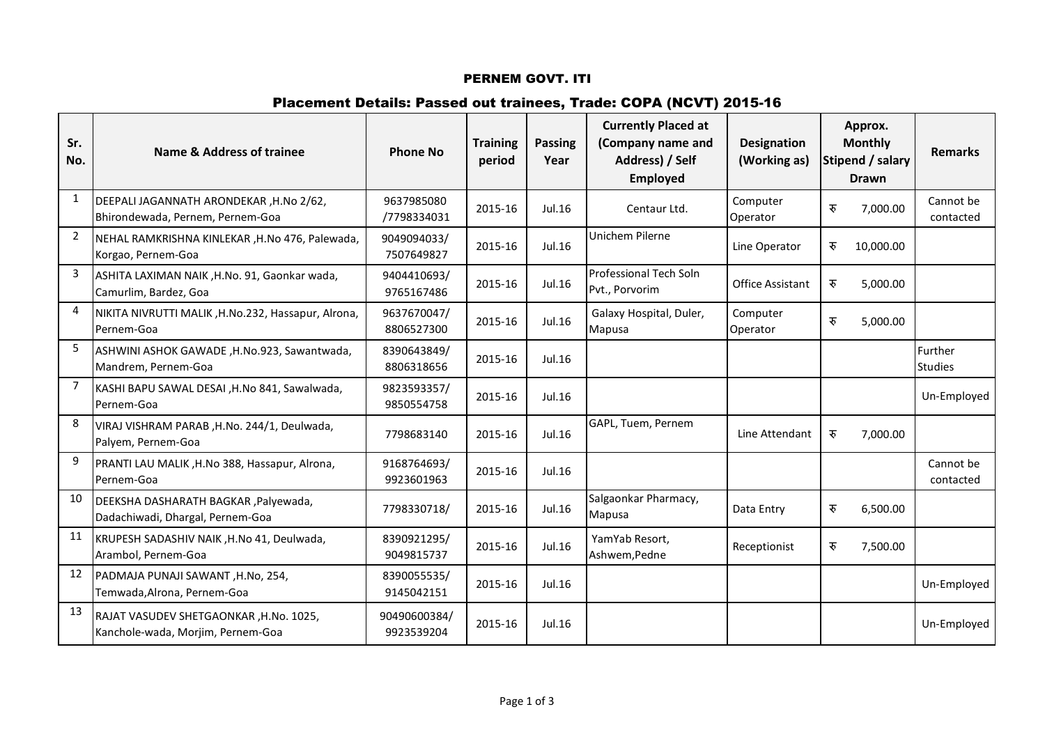## Placement Details: Passed out trainees, Trade: COPA (NCVT) 2015-16

| Sr.<br>No.     | Name & Address of trainee                                                   | <b>Phone No</b>            | <b>Training</b><br>period | <b>Passing</b><br>Year | <b>Currently Placed at</b><br>(Company name and<br>Address) / Self<br><b>Employed</b> | <b>Designation</b><br>(Working as) | Approx.<br><b>Monthly</b><br>Stipend / salary<br><b>Drawn</b> | <b>Remarks</b>            |
|----------------|-----------------------------------------------------------------------------|----------------------------|---------------------------|------------------------|---------------------------------------------------------------------------------------|------------------------------------|---------------------------------------------------------------|---------------------------|
| $\mathbf{1}$   | DEEPALI JAGANNATH ARONDEKAR, H.No 2/62,<br>Bhirondewada, Pernem, Pernem-Goa | 9637985080<br>/7798334031  | 2015-16                   | Jul.16                 | Centaur Ltd.                                                                          | Computer<br>Operator               | रु<br>7,000.00                                                | Cannot be<br>contacted    |
| $\overline{2}$ | NEHAL RAMKRISHNA KINLEKAR, H.No 476, Palewada,<br>Korgao, Pernem-Goa        | 9049094033/<br>7507649827  | 2015-16                   | Jul.16                 | Unichem Pilerne                                                                       | Line Operator                      | रु<br>10,000.00                                               |                           |
| $\mathbf{3}$   | ASHITA LAXIMAN NAIK, H.No. 91, Gaonkar wada,<br>Camurlim, Bardez, Goa       | 9404410693/<br>9765167486  | 2015-16                   | Jul.16                 | Professional Tech Soln<br>Pvt., Porvorim                                              | <b>Office Assistant</b>            | रु<br>5,000.00                                                |                           |
| 4              | NIKITA NIVRUTTI MALIK, H.No.232, Hassapur, Alrona,<br>Pernem-Goa            | 9637670047/<br>8806527300  | 2015-16                   | Jul.16                 | Galaxy Hospital, Duler,<br>Mapusa                                                     | Computer<br>Operator               | रु<br>5,000.00                                                |                           |
| 5              | ASHWINI ASHOK GAWADE, H.No.923, Sawantwada,<br>Mandrem, Pernem-Goa          | 8390643849/<br>8806318656  | 2015-16                   | Jul.16                 |                                                                                       |                                    |                                                               | Further<br><b>Studies</b> |
| 7              | KASHI BAPU SAWAL DESAI , H.No 841, Sawalwada,<br>Pernem-Goa                 | 9823593357/<br>9850554758  | 2015-16                   | Jul.16                 |                                                                                       |                                    |                                                               | Un-Employed               |
| 8              | VIRAJ VISHRAM PARAB, H.No. 244/1, Deulwada,<br>Palyem, Pernem-Goa           | 7798683140                 | 2015-16                   | Jul.16                 | GAPL, Tuem, Pernem                                                                    | Line Attendant                     | रु<br>7,000.00                                                |                           |
| 9              | PRANTI LAU MALIK, H.No 388, Hassapur, Alrona,<br>Pernem-Goa                 | 9168764693/<br>9923601963  | 2015-16                   | Jul.16                 |                                                                                       |                                    |                                                               | Cannot be<br>contacted    |
| 10             | DEEKSHA DASHARATH BAGKAR, Palyewada,<br>Dadachiwadi, Dhargal, Pernem-Goa    | 7798330718/                | 2015-16                   | Jul.16                 | Salgaonkar Pharmacy,<br>Mapusa                                                        | Data Entry                         | रु<br>6,500.00                                                |                           |
| 11             | KRUPESH SADASHIV NAIK, H.No 41, Deulwada,<br>Arambol, Pernem-Goa            | 8390921295/<br>9049815737  | 2015-16                   | Jul.16                 | YamYab Resort,<br>Ashwem, Pedne                                                       | Receptionist                       | रु<br>7,500.00                                                |                           |
| 12             | PADMAJA PUNAJI SAWANT, H.No, 254,<br>Temwada, Alrona, Pernem-Goa            | 8390055535/<br>9145042151  | 2015-16                   | Jul.16                 |                                                                                       |                                    |                                                               | Un-Employed               |
| 13             | RAJAT VASUDEV SHETGAONKAR, H.No. 1025,<br>Kanchole-wada, Morjim, Pernem-Goa | 90490600384/<br>9923539204 | 2015-16                   | Jul.16                 |                                                                                       |                                    |                                                               | Un-Employed               |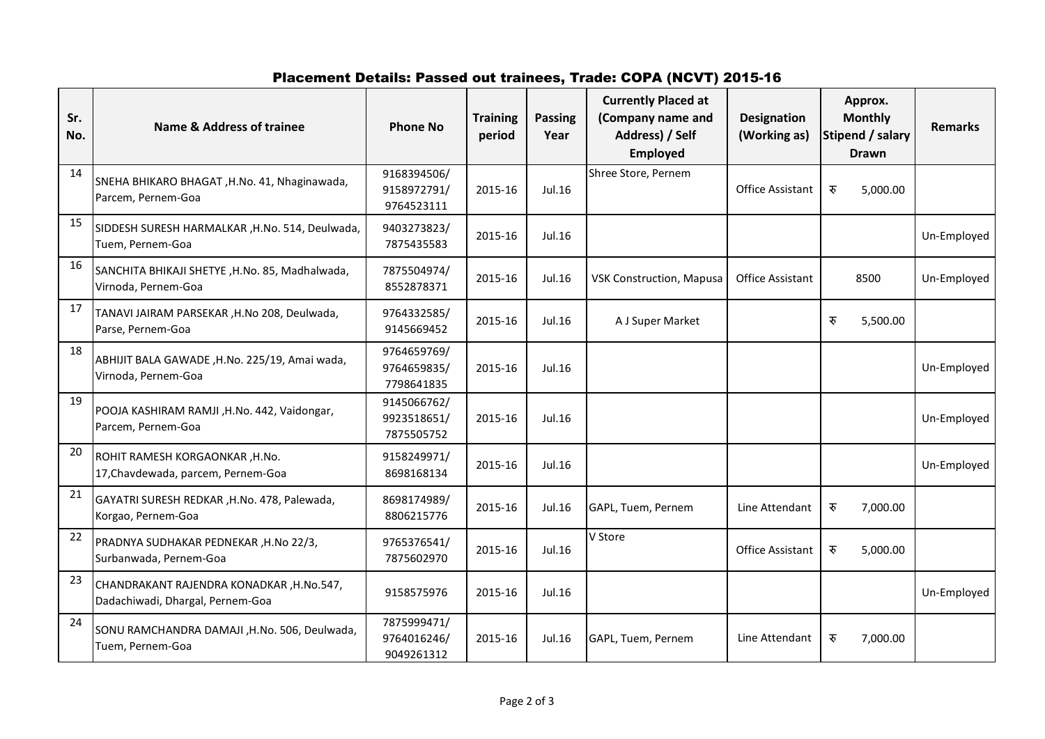# Placement Details: Passed out trainees, Trade: COPA (NCVT) 2015-16

| Sr.<br>No. | <b>Name &amp; Address of trainee</b>                                         | <b>Phone No</b>                          | <b>Training</b><br>period | <b>Passing</b><br>Year | <b>Currently Placed at</b><br>(Company name and<br>Address) / Self<br><b>Employed</b> | <b>Designation</b><br>(Working as) | Approx.<br><b>Monthly</b><br>Stipend / salary<br><b>Drawn</b> | <b>Remarks</b> |
|------------|------------------------------------------------------------------------------|------------------------------------------|---------------------------|------------------------|---------------------------------------------------------------------------------------|------------------------------------|---------------------------------------------------------------|----------------|
| 14         | SNEHA BHIKARO BHAGAT, H.No. 41, Nhaginawada,<br>Parcem, Pernem-Goa           | 9168394506/<br>9158972791/<br>9764523111 | 2015-16                   | Jul.16                 | Shree Store, Pernem                                                                   | Office Assistant                   | रु<br>5,000.00                                                |                |
| 15         | SIDDESH SURESH HARMALKAR, H.No. 514, Deulwada,<br>Tuem, Pernem-Goa           | 9403273823/<br>7875435583                | 2015-16                   | Jul.16                 |                                                                                       |                                    |                                                               | Un-Employed    |
| 16         | SANCHITA BHIKAJI SHETYE , H.No. 85, Madhalwada,<br>Virnoda, Pernem-Goa       | 7875504974/<br>8552878371                | 2015-16                   | Jul.16                 | <b>VSK Construction, Mapusa</b>                                                       | <b>Office Assistant</b>            | 8500                                                          | Un-Employed    |
| 17         | TANAVI JAIRAM PARSEKAR , H.No 208, Deulwada,<br>Parse, Pernem-Goa            | 9764332585/<br>9145669452                | 2015-16                   | Jul.16                 | A J Super Market                                                                      |                                    | रु<br>5,500.00                                                |                |
| 18         | ABHIJIT BALA GAWADE, H.No. 225/19, Amai wada,<br>Virnoda, Pernem-Goa         | 9764659769/<br>9764659835/<br>7798641835 | 2015-16                   | Jul.16                 |                                                                                       |                                    |                                                               | Un-Employed    |
| 19         | POOJA KASHIRAM RAMJI, H.No. 442, Vaidongar,<br>Parcem, Pernem-Goa            | 9145066762/<br>9923518651/<br>7875505752 | 2015-16                   | Jul.16                 |                                                                                       |                                    |                                                               | Un-Employed    |
| 20         | ROHIT RAMESH KORGAONKAR, H.No.<br>17, Chavdewada, parcem, Pernem-Goa         | 9158249971/<br>8698168134                | 2015-16                   | Jul.16                 |                                                                                       |                                    |                                                               | Un-Employed    |
| 21         | GAYATRI SURESH REDKAR , H.No. 478, Palewada,<br>Korgao, Pernem-Goa           | 8698174989/<br>8806215776                | 2015-16                   | Jul.16                 | GAPL, Tuem, Pernem                                                                    | Line Attendant                     | रु<br>7,000.00                                                |                |
| 22         | PRADNYA SUDHAKAR PEDNEKAR , H.No 22/3,<br>Surbanwada, Pernem-Goa             | 9765376541/<br>7875602970                | 2015-16                   | Jul.16                 | V Store                                                                               | <b>Office Assistant</b>            | रु<br>5,000.00                                                |                |
| 23         | CHANDRAKANT RAJENDRA KONADKAR, H.No.547,<br>Dadachiwadi, Dhargal, Pernem-Goa | 9158575976                               | 2015-16                   | Jul.16                 |                                                                                       |                                    |                                                               | Un-Employed    |
| 24         | SONU RAMCHANDRA DAMAJI, H.No. 506, Deulwada,<br>Tuem, Pernem-Goa             | 7875999471/<br>9764016246/<br>9049261312 | 2015-16                   | Jul.16                 | GAPL, Tuem, Pernem                                                                    | Line Attendant                     | रु<br>7,000.00                                                |                |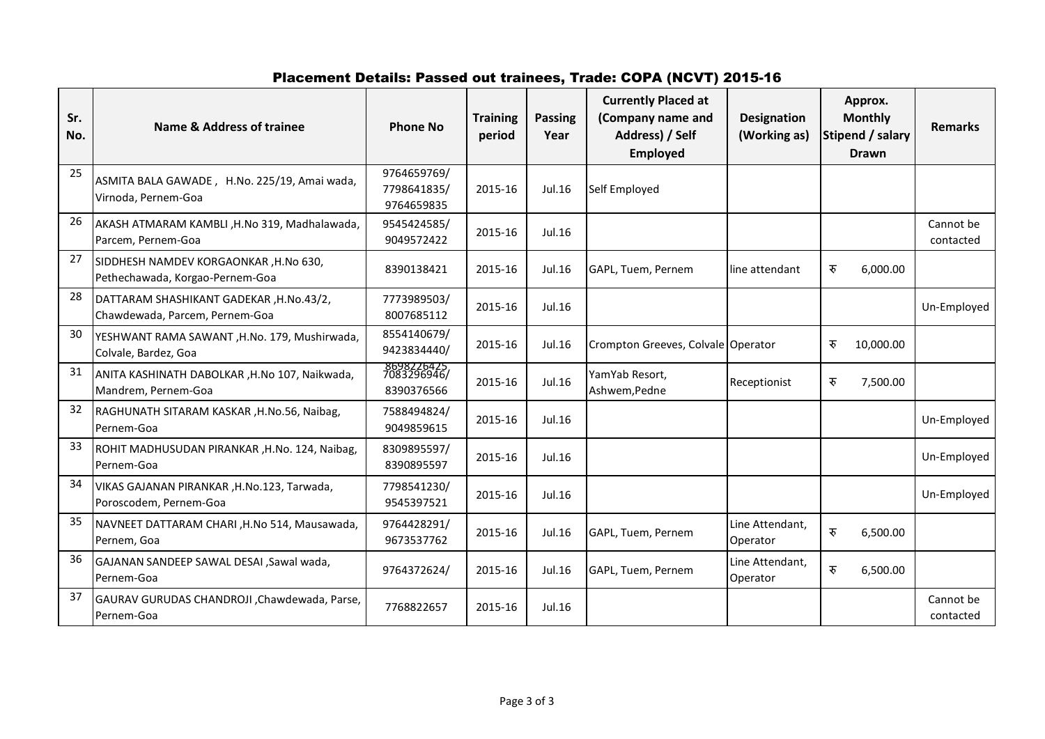# Placement Details: Passed out trainees, Trade: COPA (NCVT) 2015-16

| Sr.<br>No. | Name & Address of trainee                                                 | <b>Phone No</b>                          | <b>Training</b><br>period | <b>Passing</b><br>Year | <b>Currently Placed at</b><br>(Company name and<br>Address) / Self<br><b>Employed</b> | <b>Designation</b><br>(Working as) | Approx.<br><b>Monthly</b><br>Stipend / salary<br><b>Drawn</b> | <b>Remarks</b>         |
|------------|---------------------------------------------------------------------------|------------------------------------------|---------------------------|------------------------|---------------------------------------------------------------------------------------|------------------------------------|---------------------------------------------------------------|------------------------|
| 25         | ASMITA BALA GAWADE, H.No. 225/19, Amai wada,<br>Virnoda, Pernem-Goa       | 9764659769/<br>7798641835/<br>9764659835 | 2015-16                   | Jul.16                 | Self Employed                                                                         |                                    |                                                               |                        |
| 26         | AKASH ATMARAM KAMBLI ,H.No 319, Madhalawada,<br>Parcem, Pernem-Goa        | 9545424585/<br>9049572422                | 2015-16                   | Jul.16                 |                                                                                       |                                    |                                                               | Cannot be<br>contacted |
| 27         | SIDDHESH NAMDEV KORGAONKAR, H.No 630,<br>Pethechawada, Korgao-Pernem-Goa  | 8390138421                               | 2015-16                   | Jul.16                 | GAPL, Tuem, Pernem                                                                    | line attendant                     | रु<br>6,000.00                                                |                        |
| 28         | DATTARAM SHASHIKANT GADEKAR, H.No.43/2,<br>Chawdewada, Parcem, Pernem-Goa | 7773989503/<br>8007685112                | 2015-16                   | Jul.16                 |                                                                                       |                                    |                                                               | Un-Employed            |
| 30         | YESHWANT RAMA SAWANT, H.No. 179, Mushirwada,<br>Colvale, Bardez, Goa      | 8554140679/<br>9423834440/               | 2015-16                   | Jul.16                 | Crompton Greeves, Colvale Operator                                                    |                                    | रु<br>10,000.00                                               |                        |
| 31         | ANITA KASHINATH DABOLKAR , H.No 107, Naikwada,<br>Mandrem, Pernem-Goa     | 8698226425<br>7083296946/<br>8390376566  | 2015-16                   | Jul.16                 | YamYab Resort,<br>Ashwem, Pedne                                                       | Receptionist                       | रु<br>7,500.00                                                |                        |
| 32         | RAGHUNATH SITARAM KASKAR, H.No.56, Naibag,<br>Pernem-Goa                  | 7588494824/<br>9049859615                | 2015-16                   | Jul.16                 |                                                                                       |                                    |                                                               | Un-Employed            |
| 33         | ROHIT MADHUSUDAN PIRANKAR , H.No. 124, Naibag,<br>Pernem-Goa              | 8309895597/<br>8390895597                | 2015-16                   | Jul.16                 |                                                                                       |                                    |                                                               | Un-Employed            |
| 34         | VIKAS GAJANAN PIRANKAR, H.No.123, Tarwada,<br>Poroscodem, Pernem-Goa      | 7798541230/<br>9545397521                | 2015-16                   | Jul.16                 |                                                                                       |                                    |                                                               | Un-Employed            |
| 35         | NAVNEET DATTARAM CHARI, H.No 514, Mausawada,<br>Pernem, Goa               | 9764428291/<br>9673537762                | 2015-16                   | Jul.16                 | GAPL, Tuem, Pernem                                                                    | Line Attendant,<br>Operator        | रु<br>6,500.00                                                |                        |
| 36         | GAJANAN SANDEEP SAWAL DESAI , Sawal wada,<br>Pernem-Goa                   | 9764372624/                              | 2015-16                   | Jul.16                 | GAPL, Tuem, Pernem                                                                    | Line Attendant,<br>Operator        | रु<br>6,500.00                                                |                        |
| 37         | GAURAV GURUDAS CHANDROJI, Chawdewada, Parse,<br>Pernem-Goa                | 7768822657                               | 2015-16                   | Jul.16                 |                                                                                       |                                    |                                                               | Cannot be<br>contacted |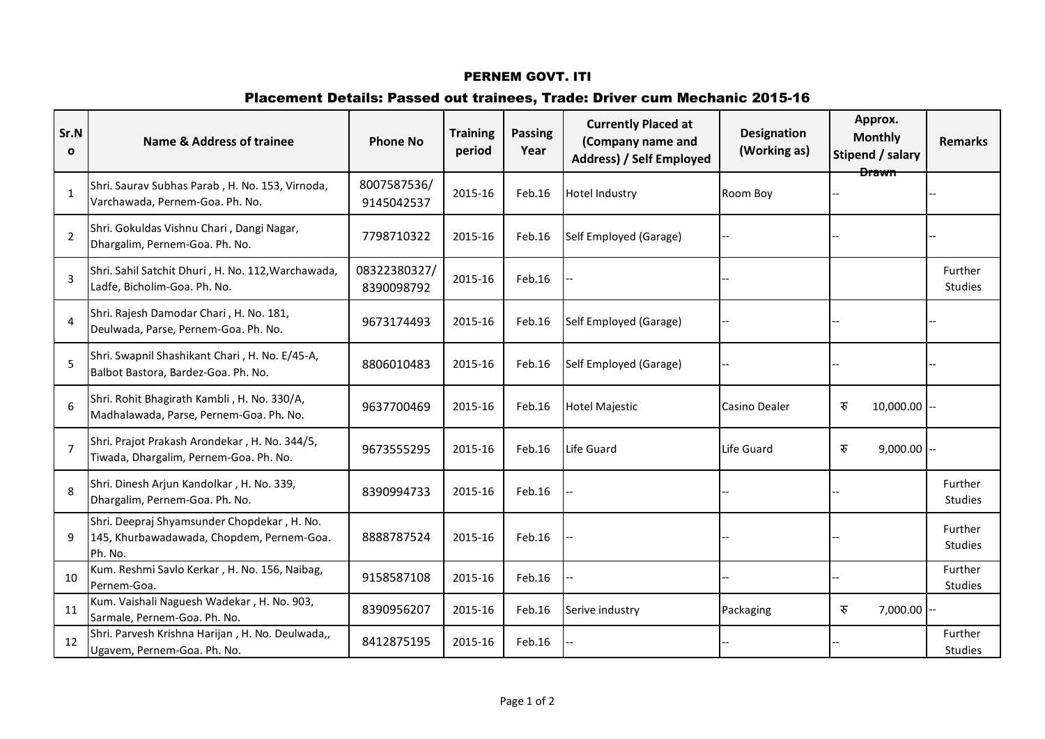# Placement Details: Passed out trainees, Trade: Driver cum Mechanic 2015-16

| Sr.N<br>$\mathbf{o}$ | Name & Address of trainee                                                                           | <b>Phone No</b>            | <b>Training</b><br>period | <b>Passing</b><br>Year | <b>Currently Placed at</b><br>(Company name and<br>Address) / Self Employed | <b>Designation</b><br>(Working as) | Approx.<br><b>Monthly</b><br>Stipend / salary<br><b>Drawn</b> | <b>Remarks</b>            |
|----------------------|-----------------------------------------------------------------------------------------------------|----------------------------|---------------------------|------------------------|-----------------------------------------------------------------------------|------------------------------------|---------------------------------------------------------------|---------------------------|
| $\mathbf{1}$         | Shri. Saurav Subhas Parab, H. No. 153, Virnoda,<br>Varchawada, Pernem-Goa. Ph. No.                  | 8007587536/<br>9145042537  | 2015-16                   | Feb.16                 | <b>Hotel Industry</b>                                                       | Room Boy                           |                                                               |                           |
| $\overline{2}$       | Shri. Gokuldas Vishnu Chari, Dangi Nagar,<br>Dhargalim, Pernem-Goa. Ph. No.                         | 7798710322                 | 2015-16                   | Feb.16                 | Self Employed (Garage)                                                      |                                    |                                                               |                           |
| $\overline{3}$       | Shri. Sahil Satchit Dhuri, H. No. 112, Warchawada,<br>Ladfe, Bicholim-Goa. Ph. No.                  | 08322380327/<br>8390098792 | 2015-16                   | Feb.16                 |                                                                             |                                    |                                                               | Further<br><b>Studies</b> |
| $\overline{4}$       | Shri. Rajesh Damodar Chari, H. No. 181,<br>Deulwada, Parse, Pernem-Goa. Ph. No.                     | 9673174493                 | 2015-16                   | Feb.16                 | Self Employed (Garage)                                                      |                                    |                                                               |                           |
| 5                    | Shri. Swapnil Shashikant Chari, H. No. E/45-A,<br>Balbot Bastora, Bardez-Goa. Ph. No.               | 8806010483                 | 2015-16                   | Feb.16                 | Self Employed (Garage)                                                      |                                    |                                                               |                           |
| 6                    | Shri. Rohit Bhagirath Kambli, H. No. 330/A,<br>Madhalawada, Parse, Pernem-Goa. Ph. No.              | 9637700469                 | 2015-16                   | Feb.16                 | <b>Hotel Majestic</b>                                                       | Casino Dealer                      | रु<br>10,000.00                                               |                           |
| $\overline{7}$       | Shri. Prajot Prakash Arondekar, H. No. 344/5,<br>Tiwada, Dhargalim, Pernem-Goa. Ph. No.             | 9673555295                 | 2015-16                   | Feb.16                 | Life Guard                                                                  | Life Guard                         | रु<br>9,000.00                                                |                           |
| 8                    | Shri. Dinesh Arjun Kandolkar, H. No. 339,<br>Dhargalim, Pernem-Goa. Ph. No.                         | 8390994733                 | 2015-16                   | Feb.16                 |                                                                             |                                    |                                                               | Further<br><b>Studies</b> |
| 9                    | Shri. Deepraj Shyamsunder Chopdekar, H. No.<br>145, Khurbawadawada, Chopdem, Pernem-Goa.<br>Ph. No. | 8888787524                 | 2015-16                   | Feb.16                 |                                                                             |                                    |                                                               | Further<br><b>Studies</b> |
| 10                   | Kum. Reshmi Savlo Kerkar, H. No. 156, Naibag,<br>Pernem-Goa.                                        | 9158587108                 | 2015-16                   | Feb.16                 |                                                                             |                                    |                                                               | Further<br>Studies        |
| 11                   | Kum. Vaishali Naguesh Wadekar, H. No. 903,<br>Sarmale, Pernem-Goa. Ph. No.                          | 8390956207                 | 2015-16                   | Feb.16                 | Serive industry                                                             | Packaging                          | रु<br>$7,000.00$ --                                           |                           |
| 12                   | Shri. Parvesh Krishna Harijan, H. No. Deulwada,,<br>Ugavem, Pernem-Goa. Ph. No.                     | 8412875195                 | 2015-16                   | Feb.16                 |                                                                             |                                    |                                                               | Further<br><b>Studies</b> |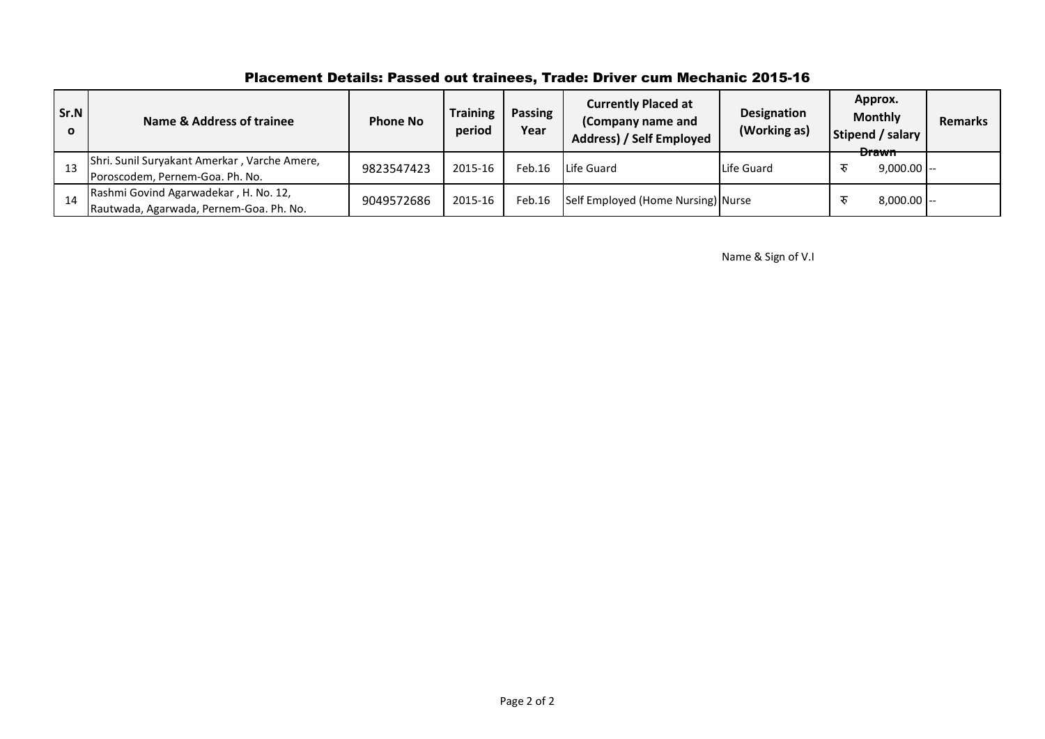# Placement Details: Passed out trainees, Trade: Driver cum Mechanic 2015-16

| Sr.N<br>$\mathbf{o}$ | <b>Name &amp; Address of trainee</b>                                             | <b>Phone No</b> | <b>Training</b><br>period | Passing<br>Year | <b>Currently Placed at</b><br>(Company name and<br>Address) / Self Employed | <b>Designation</b><br>(Working as) | Approx.<br><b>Monthly</b><br>Stipend / salary | <b>Remarks</b> |
|----------------------|----------------------------------------------------------------------------------|-----------------|---------------------------|-----------------|-----------------------------------------------------------------------------|------------------------------------|-----------------------------------------------|----------------|
| 13                   | Shri. Sunil Suryakant Amerkar, Varche Amere,<br>Poroscodem, Pernem-Goa. Ph. No.  | 9823547423      | 2015-16                   | Feb.16          | Life Guard                                                                  | Life Guard                         | <b>Drawn</b><br>$9,000.00$ --                 |                |
| -14                  | Rashmi Govind Agarwadekar, H. No. 12,<br>Rautwada, Agarwada, Pernem-Goa. Ph. No. | 9049572686      | 2015-16                   | Feb.16          | Self Employed (Home Nursing) Nurse                                          |                                    | $8,000.00$ $\left[-\right]$                   |                |

Name & Sign of V.I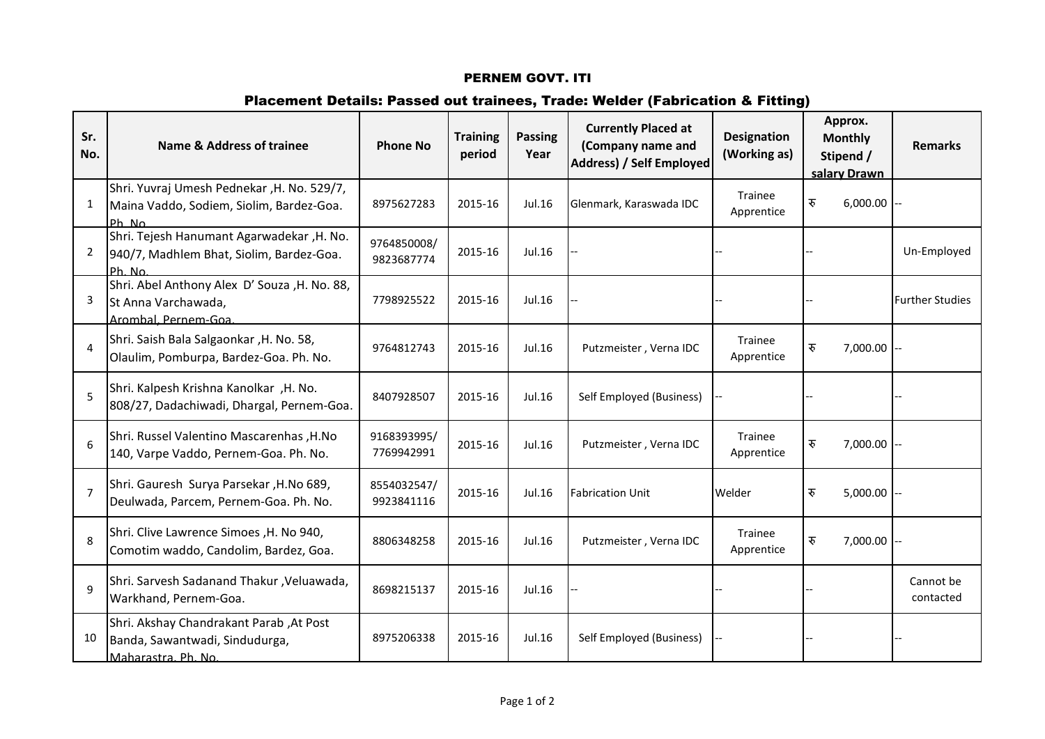### Placement Details: Passed out trainees, Trade: Welder (Fabrication & Fitting)

| Sr.<br>No.            | Name & Address of trainee                                                                          | <b>Phone No</b>           | <b>Training</b><br>period | <b>Passing</b><br>Year | <b>Currently Placed at</b><br>(Company name and<br>Address) / Self Employed | <b>Designation</b><br>(Working as) | Approx.<br><b>Monthly</b><br>Stipend /<br>salary Drawn | <b>Remarks</b>         |
|-----------------------|----------------------------------------------------------------------------------------------------|---------------------------|---------------------------|------------------------|-----------------------------------------------------------------------------|------------------------------------|--------------------------------------------------------|------------------------|
| 1                     | Shri. Yuvraj Umesh Pednekar , H. No. 529/7,<br>Maina Vaddo, Sodiem, Siolim, Bardez-Goa.<br>Ph. No. | 8975627283                | 2015-16                   | Jul.16                 | Glenmark, Karaswada IDC                                                     | Trainee<br>Apprentice              | रु<br>$6,000.00$ --                                    |                        |
| 2                     | Shri. Tejesh Hanumant Agarwadekar, H. No.<br>940/7, Madhlem Bhat, Siolim, Bardez-Goa.<br>Ph. No.   | 9764850008/<br>9823687774 | 2015-16                   | Jul.16                 |                                                                             |                                    |                                                        | Un-Employed            |
| 3                     | Shri. Abel Anthony Alex D' Souza, H. No. 88,<br>St Anna Varchawada,<br>Arombal Pernem-Goa          | 7798925522                | 2015-16                   | Jul.16                 |                                                                             |                                    |                                                        | <b>Further Studies</b> |
| $\boldsymbol{\Delta}$ | Shri. Saish Bala Salgaonkar, H. No. 58,<br>Olaulim, Pomburpa, Bardez-Goa. Ph. No.                  | 9764812743                | 2015-16                   | Jul.16                 | Putzmeister, Verna IDC                                                      | Trainee<br>Apprentice              | रु<br>$7,000.00$ --                                    |                        |
| 5                     | Shri. Kalpesh Krishna Kanolkar, H. No.<br>808/27, Dadachiwadi, Dhargal, Pernem-Goa.                | 8407928507                | 2015-16                   | Jul.16                 | Self Employed (Business)                                                    |                                    |                                                        |                        |
| 6                     | Shri. Russel Valentino Mascarenhas, H.No<br>140, Varpe Vaddo, Pernem-Goa. Ph. No.                  | 9168393995/<br>7769942991 | 2015-16                   | Jul.16                 | Putzmeister, Verna IDC                                                      | Trainee<br>Apprentice              | रु<br>$7,000.00$ --                                    |                        |
| $\overline{7}$        | Shri. Gauresh Surya Parsekar, H.No 689,<br>Deulwada, Parcem, Pernem-Goa. Ph. No.                   | 8554032547/<br>9923841116 | 2015-16                   | Jul.16                 | <b>Fabrication Unit</b>                                                     | Welder                             | रु<br>$5,000.00$ --                                    |                        |
| 8                     | Shri. Clive Lawrence Simoes , H. No 940,<br>Comotim waddo, Candolim, Bardez, Goa.                  | 8806348258                | 2015-16                   | Jul.16                 | Putzmeister, Verna IDC                                                      | Trainee<br>Apprentice              | रु<br>7,000.00                                         |                        |
| $\mathbf{q}$          | Shri. Sarvesh Sadanand Thakur, Veluawada,<br>Warkhand, Pernem-Goa.                                 | 8698215137                | 2015-16                   | Jul.16                 |                                                                             |                                    |                                                        | Cannot be<br>contacted |
| 10                    | Shri. Akshay Chandrakant Parab, At Post<br>Banda, Sawantwadi, Sindudurga,<br>Maharastra Ph No      | 8975206338                | 2015-16                   | Jul.16                 | Self Employed (Business)                                                    |                                    |                                                        |                        |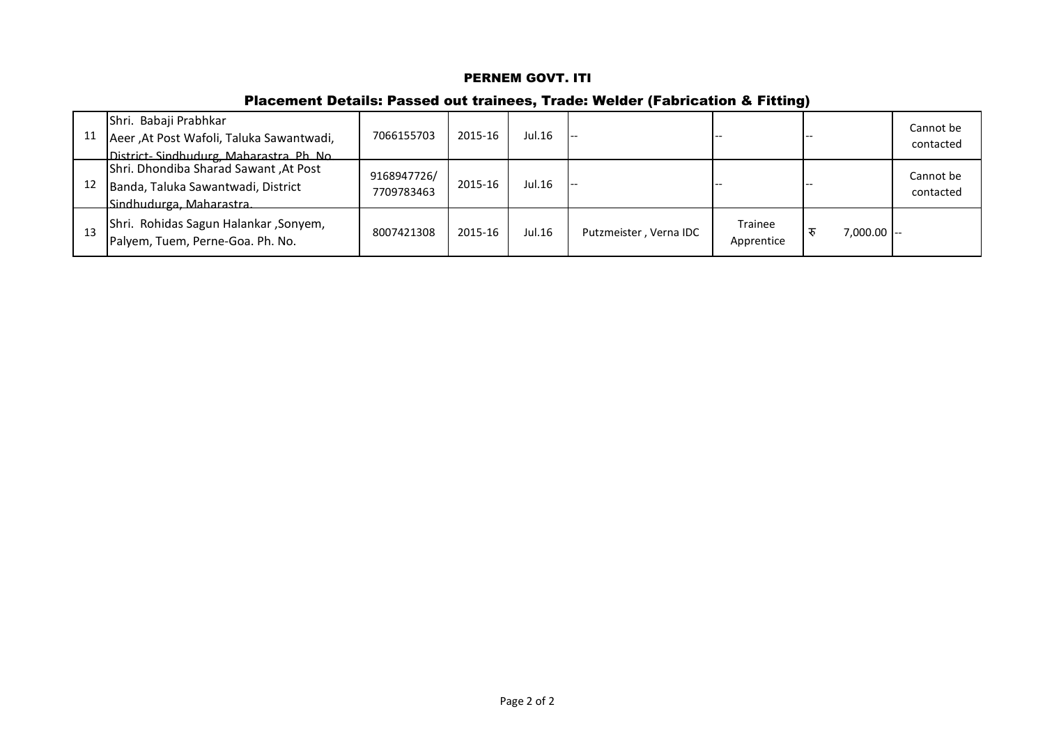# Placement Details: Passed out trainees, Trade: Welder (Fabrication & Fitting)

| 11 | Shri. Babaji Prabhkar<br>Aeer, At Post Wafoli, Taluka Sawantwadi,<br>District-Sindhudurg, Maharastra, Ph. No. | 7066155703                | 2015-16 | Jul.16 | --                     |                              |                             | Cannot be<br>contacted |
|----|---------------------------------------------------------------------------------------------------------------|---------------------------|---------|--------|------------------------|------------------------------|-----------------------------|------------------------|
|    | Shri. Dhondiba Sharad Sawant, At Post<br>Banda, Taluka Sawantwadi, District<br>Sindhudurga Maharastra         | 9168947726/<br>7709783463 | 2015-16 | Jul.16 | --                     |                              |                             | Cannot be<br>contacted |
|    | Shri. Rohidas Sagun Halankar, Sonyem,<br>Palyem, Tuem, Perne-Goa. Ph. No.                                     | 8007421308                | 2015-16 | Jul.16 | Putzmeister, Verna IDC | <b>Trainee</b><br>Apprentice | $7,000.00$ $\left[-\right]$ |                        |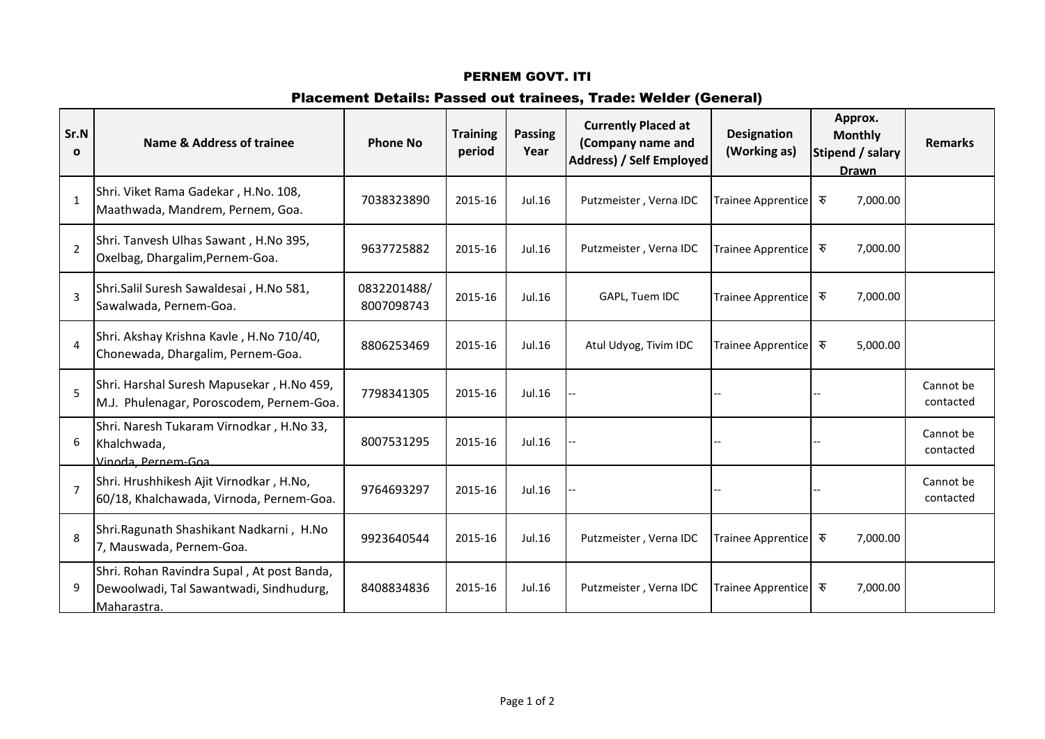# Placement Details: Passed out trainees, Trade: Welder (General)

| Sr.N<br>$\mathbf{o}$ | Name & Address of trainee                                                                            | <b>Phone No</b>           | <b>Training</b><br>period | <b>Passing</b><br>Year | <b>Currently Placed at</b><br>(Company name and<br>Address) / Self Employed | <b>Designation</b><br>(Working as) | Approx.<br><b>Monthly</b><br>Stipend / salary<br><b>Drawn</b> | <b>Remarks</b>         |
|----------------------|------------------------------------------------------------------------------------------------------|---------------------------|---------------------------|------------------------|-----------------------------------------------------------------------------|------------------------------------|---------------------------------------------------------------|------------------------|
| $\mathbf{1}$         | Shri. Viket Rama Gadekar, H.No. 108,<br>Maathwada, Mandrem, Pernem, Goa.                             | 7038323890                | 2015-16                   | Jul.16                 | Putzmeister, Verna IDC                                                      | <b>Trainee Apprentice</b>          | 7,000.00<br>रु                                                |                        |
| $\overline{2}$       | Shri. Tanvesh Ulhas Sawant, H.No 395,<br>Oxelbag, Dhargalim, Pernem-Goa.                             | 9637725882                | 2015-16                   | Jul.16                 | Putzmeister, Verna IDC                                                      | <b>Trainee Apprentice</b>          | 7,000.00<br>रु                                                |                        |
| $\overline{3}$       | Shri.Salil Suresh Sawaldesai, H.No 581,<br>Sawalwada, Pernem-Goa.                                    | 0832201488/<br>8007098743 | 2015-16                   | Jul.16                 | GAPL, Tuem IDC                                                              | Trainee Apprentice                 | रु<br>7,000.00                                                |                        |
| $\overline{4}$       | Shri. Akshay Krishna Kavle, H.No 710/40,<br>Chonewada, Dhargalim, Pernem-Goa.                        | 8806253469                | 2015-16                   | Jul.16                 | Atul Udyog, Tivim IDC                                                       | <b>Trainee Apprentice</b>          | रु<br>5,000.00                                                |                        |
| 5                    | Shri. Harshal Suresh Mapusekar, H.No 459,<br>M.J. Phulenagar, Poroscodem, Pernem-Goa.                | 7798341305                | 2015-16                   | Jul.16                 |                                                                             |                                    |                                                               | Cannot be<br>contacted |
| 6                    | Shri. Naresh Tukaram Virnodkar, H.No 33,<br>Khalchwada,<br>Vinoda Pernem-Goa                         | 8007531295                | 2015-16                   | Jul.16                 |                                                                             |                                    |                                                               | Cannot be<br>contacted |
| $\overline{7}$       | Shri. Hrushhikesh Ajit Virnodkar, H.No,<br>60/18, Khalchawada, Virnoda, Pernem-Goa.                  | 9764693297                | 2015-16                   | Jul.16                 |                                                                             |                                    |                                                               | Cannot be<br>contacted |
| 8                    | Shri.Ragunath Shashikant Nadkarni, H.No<br>7, Mauswada, Pernem-Goa.                                  | 9923640544                | 2015-16                   | Jul.16                 | Putzmeister, Verna IDC                                                      | Trainee Apprentice                 | रु<br>7,000.00                                                |                        |
| 9                    | Shri. Rohan Ravindra Supal, At post Banda,<br>Dewoolwadi, Tal Sawantwadi, Sindhudurg,<br>Maharastra. | 8408834836                | 2015-16                   | Jul.16                 | Putzmeister, Verna IDC                                                      | <b>Trainee Apprentice</b>          | 7,000.00<br>रु                                                |                        |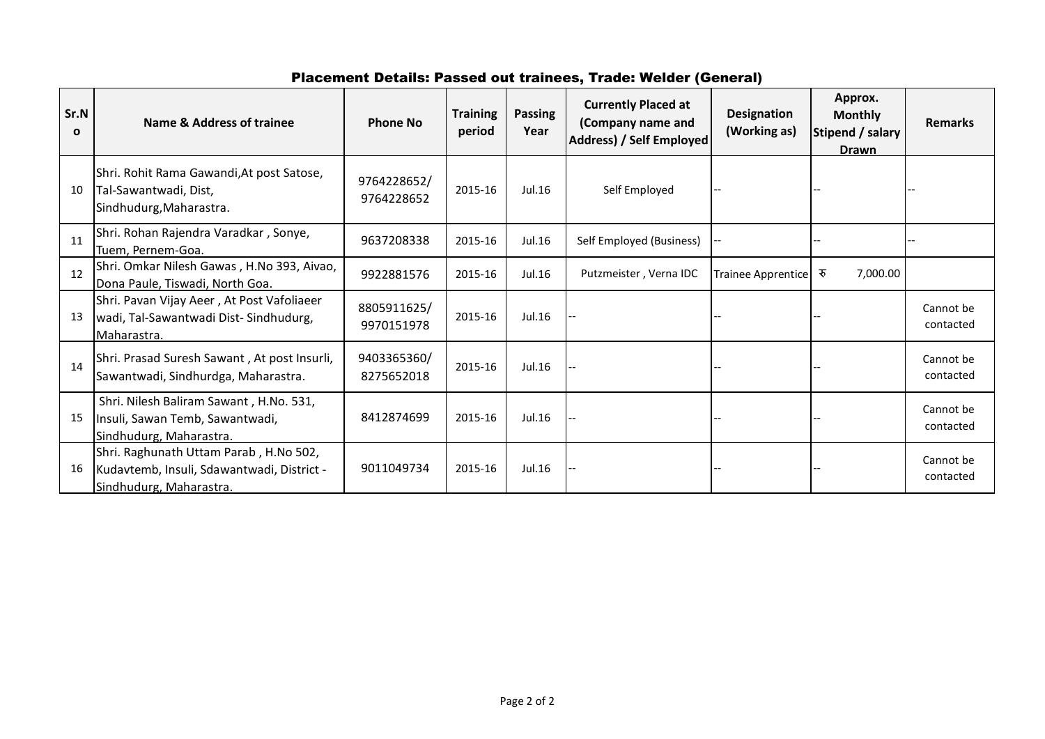# Placement Details: Passed out trainees, Trade: Welder (General)

| Sr.N<br>$\mathbf{o}$ | Name & Address of trainee                                                                                       | <b>Phone No</b>           | <b>Training</b><br>period | <b>Passing</b><br>Year | <b>Currently Placed at</b><br>(Company name and<br>Address) / Self Employed | <b>Designation</b><br>(Working as) | Approx.<br><b>Monthly</b><br>Stipend / salary<br><b>Drawn</b> | <b>Remarks</b>         |
|----------------------|-----------------------------------------------------------------------------------------------------------------|---------------------------|---------------------------|------------------------|-----------------------------------------------------------------------------|------------------------------------|---------------------------------------------------------------|------------------------|
| 10                   | Shri. Rohit Rama Gawandi, At post Satose,<br>Tal-Sawantwadi, Dist,<br>Sindhudurg, Maharastra.                   | 9764228652/<br>9764228652 | 2015-16                   | Jul.16                 | Self Employed                                                               |                                    |                                                               |                        |
| 11                   | Shri. Rohan Rajendra Varadkar, Sonye,<br>Tuem, Pernem-Goa.                                                      | 9637208338                | 2015-16                   | Jul.16                 | Self Employed (Business)                                                    |                                    |                                                               |                        |
| 12                   | Shri. Omkar Nilesh Gawas, H.No 393, Aivao,<br>Dona Paule, Tiswadi, North Goa.                                   | 9922881576                | 2015-16                   | Jul.16                 | Putzmeister, Verna IDC                                                      | <b>Trainee Apprentice</b>          | रु<br>7,000.00                                                |                        |
| 13                   | Shri. Pavan Vijay Aeer, At Post Vafoliaeer<br>wadi, Tal-Sawantwadi Dist-Sindhudurg,<br>Maharastra.              | 8805911625/<br>9970151978 | 2015-16                   | Jul.16                 |                                                                             |                                    |                                                               | Cannot be<br>contacted |
| 14                   | Shri. Prasad Suresh Sawant, At post Insurli,<br>Sawantwadi, Sindhurdga, Maharastra.                             | 9403365360/<br>8275652018 | 2015-16                   | Jul.16                 |                                                                             |                                    |                                                               | Cannot be<br>contacted |
| 15                   | Shri. Nilesh Baliram Sawant, H.No. 531,<br>Insuli, Sawan Temb, Sawantwadi,<br>Sindhudurg, Maharastra.           | 8412874699                | 2015-16                   | Jul.16                 |                                                                             |                                    |                                                               | Cannot be<br>contacted |
| 16                   | Shri. Raghunath Uttam Parab, H.No 502,<br>Kudavtemb, Insuli, Sdawantwadi, District -<br>Sindhudurg, Maharastra. | 9011049734                | 2015-16                   | Jul.16                 |                                                                             |                                    |                                                               | Cannot be<br>contacted |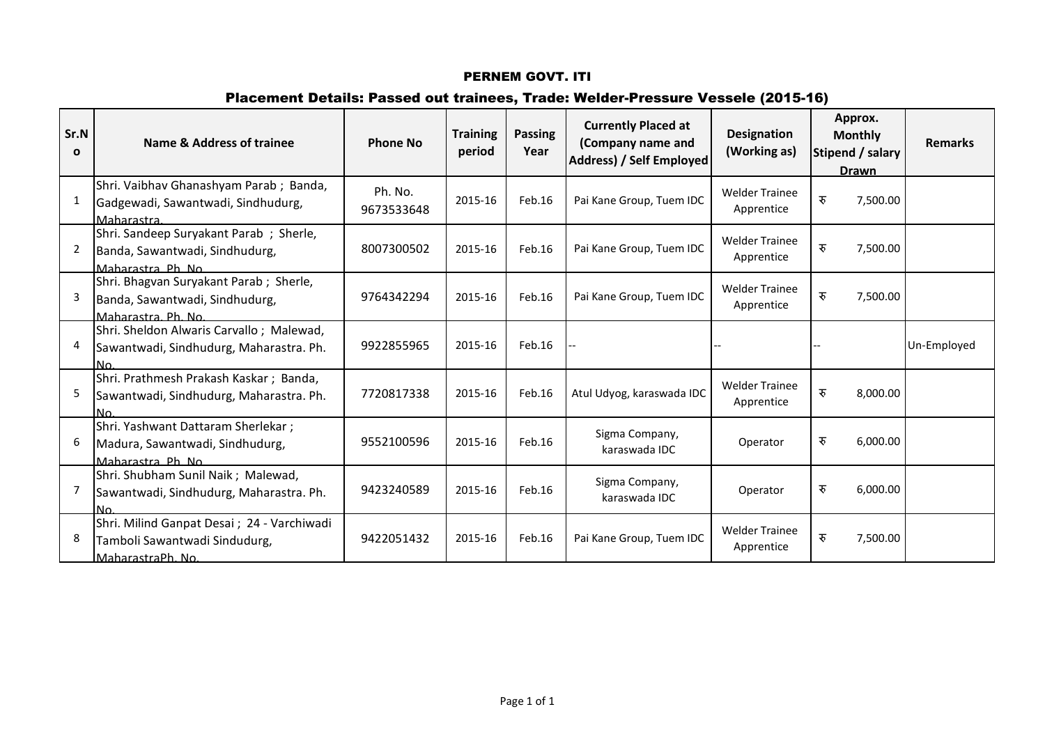# Placement Details: Passed out trainees, Trade: Welder-Pressure Vessele (2015-16)

| Sr.N<br>$\Omega$ | Name & Address of trainee                                                                         | <b>Phone No</b>       | <b>Training</b><br>period | <b>Passing</b><br>Year | <b>Currently Placed at</b><br>(Company name and<br><b>Address) / Self Employed</b> | <b>Designation</b><br>(Working as)  | Approx.<br><b>Monthly</b><br>Stipend / salary<br><b>Drawn</b> | <b>Remarks</b> |
|------------------|---------------------------------------------------------------------------------------------------|-----------------------|---------------------------|------------------------|------------------------------------------------------------------------------------|-------------------------------------|---------------------------------------------------------------|----------------|
|                  | Shri. Vaibhav Ghanashyam Parab; Banda,<br>Gadgewadi, Sawantwadi, Sindhudurg,<br>Maharastra        | Ph. No.<br>9673533648 | 2015-16                   | Feb.16                 | Pai Kane Group, Tuem IDC                                                           | <b>Welder Trainee</b><br>Apprentice | रु<br>7,500.00                                                |                |
| 2                | Shri. Sandeep Suryakant Parab ; Sherle,<br>Banda, Sawantwadi, Sindhudurg,<br>Maharastra Ph No     | 8007300502            | 2015-16                   | Feb.16                 | Pai Kane Group, Tuem IDC                                                           | <b>Welder Trainee</b><br>Apprentice | रु<br>7,500.00                                                |                |
| 3                | Shri. Bhagvan Suryakant Parab; Sherle,<br>Banda, Sawantwadi, Sindhudurg,<br>Maharastra Ph. No.    | 9764342294            | 2015-16                   | Feb.16                 | Pai Kane Group, Tuem IDC                                                           | <b>Welder Trainee</b><br>Apprentice | रु<br>7,500.00                                                |                |
| 4                | Shri. Sheldon Alwaris Carvallo; Malewad,<br>Sawantwadi, Sindhudurg, Maharastra. Ph.<br>No.        | 9922855965            | 2015-16                   | Feb.16                 |                                                                                    |                                     |                                                               | Un-Employed    |
| 5                | Shri. Prathmesh Prakash Kaskar; Banda,<br>Sawantwadi, Sindhudurg, Maharastra. Ph.<br>lN∩.         | 7720817338            | 2015-16                   | Feb.16                 | Atul Udyog, karaswada IDC                                                          | <b>Welder Trainee</b><br>Apprentice | रु<br>8,000.00                                                |                |
| 6                | Shri. Yashwant Dattaram Sherlekar;<br>Madura, Sawantwadi, Sindhudurg,<br>Maharastra Ph. No.       | 9552100596            | 2015-16                   | Feb.16                 | Sigma Company,<br>karaswada IDC                                                    | Operator                            | रु<br>6,000.00                                                |                |
|                  | Shri. Shubham Sunil Naik; Malewad,<br>Sawantwadi, Sindhudurg, Maharastra. Ph.<br>lN∩.             | 9423240589            | 2015-16                   | Feb.16                 | Sigma Company,<br>karaswada IDC                                                    | Operator                            | रु<br>6,000.00                                                |                |
| 8                | Shri. Milind Ganpat Desai ; 24 - Varchiwadi<br>Tamboli Sawantwadi Sindudurg,<br>MaharastraPh, No. | 9422051432            | 2015-16                   | Feb.16                 | Pai Kane Group, Tuem IDC                                                           | <b>Welder Trainee</b><br>Apprentice | रु<br>7,500.00                                                |                |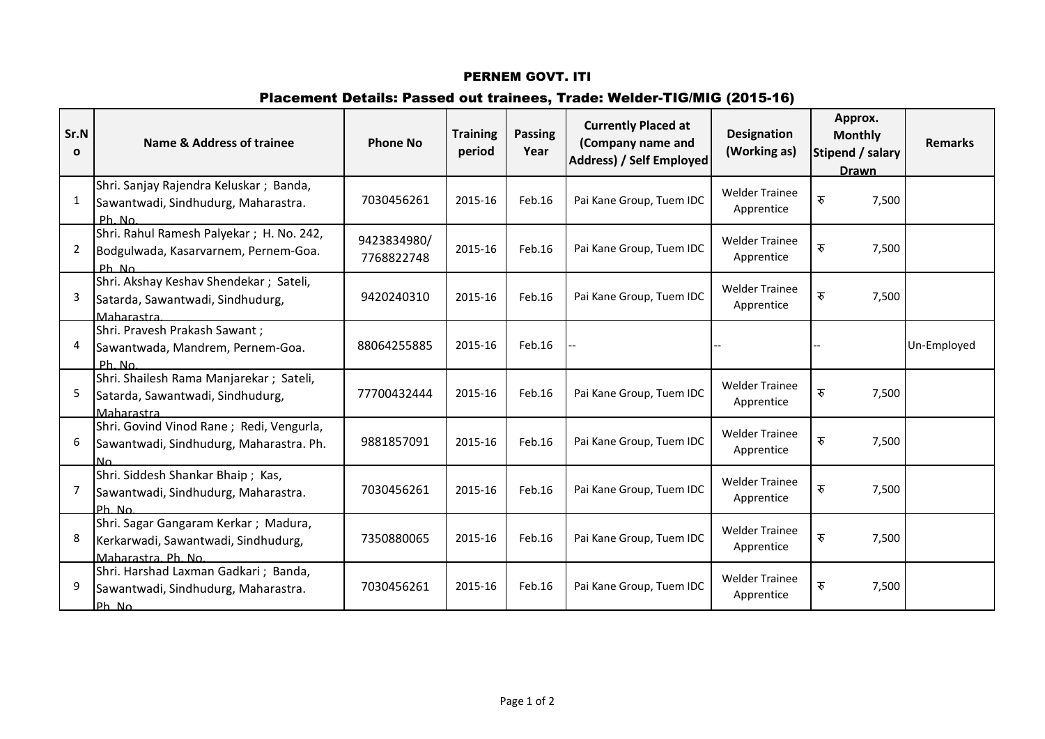# Placement Details: Passed out trainees, Trade: Welder-TIG/MIG (2015-16)

| Sr.N<br>$\mathbf{o}$ | Name & Address of trainee                                                                          | <b>Phone No</b>           | <b>Training</b><br>period | <b>Passing</b><br>Year | <b>Currently Placed at</b><br>(Company name and<br>Address) / Self Employed | <b>Designation</b><br>(Working as)  | Approx.<br><b>Monthly</b><br>Stipend / salary<br><b>Drawn</b> | <b>Remarks</b> |
|----------------------|----------------------------------------------------------------------------------------------------|---------------------------|---------------------------|------------------------|-----------------------------------------------------------------------------|-------------------------------------|---------------------------------------------------------------|----------------|
| 1                    | Shri. Sanjay Rajendra Keluskar; Banda,<br>Sawantwadi, Sindhudurg, Maharastra.<br>Ph. No.           | 7030456261                | 2015-16                   | Feb.16                 | Pai Kane Group, Tuem IDC                                                    | <b>Welder Trainee</b><br>Apprentice | रु<br>7,500                                                   |                |
| 2                    | Shri. Rahul Ramesh Palyekar; H. No. 242,<br>Bodgulwada, Kasarvarnem, Pernem-Goa.<br>Ph No          | 9423834980/<br>7768822748 | 2015-16                   | Feb.16                 | Pai Kane Group, Tuem IDC                                                    | <b>Welder Trainee</b><br>Apprentice | रु<br>7,500                                                   |                |
| 3                    | Shri. Akshay Keshav Shendekar; Sateli,<br>Satarda, Sawantwadi, Sindhudurg,<br>Maharastra           | 9420240310                | 2015-16                   | Feb.16                 | Pai Kane Group, Tuem IDC                                                    | <b>Welder Trainee</b><br>Apprentice | रु<br>7,500                                                   |                |
| 4                    | Shri. Pravesh Prakash Sawant;<br>Sawantwada, Mandrem, Pernem-Goa.<br>$Ph$ $No$                     | 88064255885               | 2015-16                   | Feb.16                 |                                                                             |                                     |                                                               | Un-Employed    |
| 5                    | Shri. Shailesh Rama Manjarekar; Sateli,<br>Satarda, Sawantwadi, Sindhudurg,<br>Maharastra          | 77700432444               | 2015-16                   | Feb.16                 | Pai Kane Group, Tuem IDC                                                    | <b>Welder Trainee</b><br>Apprentice | रु<br>7,500                                                   |                |
| 6                    | Shri. Govind Vinod Rane; Redi, Vengurla,<br>Sawantwadi, Sindhudurg, Maharastra. Ph.<br>N٥          | 9881857091                | 2015-16                   | Feb.16                 | Pai Kane Group, Tuem IDC                                                    | <b>Welder Trainee</b><br>Apprentice | रु<br>7,500                                                   |                |
| 7                    | Shri. Siddesh Shankar Bhaip; Kas,<br>Sawantwadi, Sindhudurg, Maharastra.<br>lPh N∩                 | 7030456261                | 2015-16                   | Feb.16                 | Pai Kane Group, Tuem IDC                                                    | <b>Welder Trainee</b><br>Apprentice | रु<br>7,500                                                   |                |
| 8                    | Shri. Sagar Gangaram Kerkar; Madura,<br>Kerkarwadi, Sawantwadi, Sindhudurg,<br>Maharastra, Ph. No. | 7350880065                | 2015-16                   | Feb.16                 | Pai Kane Group, Tuem IDC                                                    | <b>Welder Trainee</b><br>Apprentice | रु<br>7,500                                                   |                |
| 9                    | Shri. Harshad Laxman Gadkari; Banda,<br>Sawantwadi, Sindhudurg, Maharastra.<br>Ph No               | 7030456261                | 2015-16                   | Feb.16                 | Pai Kane Group, Tuem IDC                                                    | <b>Welder Trainee</b><br>Apprentice | रु<br>7,500                                                   |                |